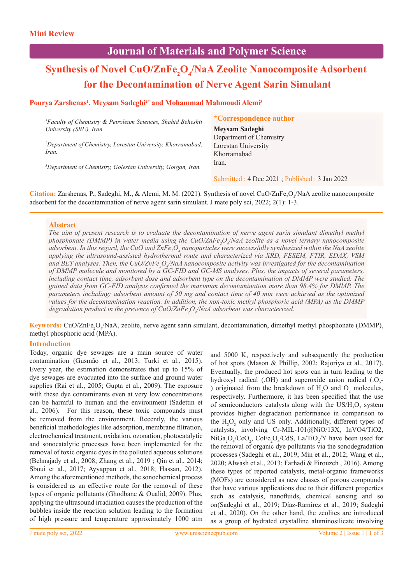## **Journal of Materials and Polymer Science**

# $\mathbf S$ ynthesis of Novel CuO/ZnFe<sub>2</sub>O<sub>4</sub>/NaA Zeolite Nanocomposite Adsorbent  **for the Decontamination of Nerve Agent Sarin Simulant**

### Pourya Zarshenas<sup>1</sup>, Meysam Sadeghi<sup>2\*</sup> and Mohammad Mahmoudi Alemi<sup>3</sup>

| <sup>1</sup> Faculty of Chemistry $\&$ Petroleum Sciences, Shahid Beheshti | <i>*Correspondence author</i> |
|----------------------------------------------------------------------------|-------------------------------|
| University (SBU), Iran.                                                    | Meysam Sadeghi                |
|                                                                            | Department of Chemistry       |
| <sup>2</sup> Department of Chemistry, Lorestan University, Khorramabad,    | Lorestan University           |
| Iran.                                                                      | Khorramabad                   |
| <sup>3</sup> Department of Chemistry, Golestan University, Gorgan, Iran.   | Iran.                         |

Submitted : 4 Dec 2021 ; Published : 3 Jan 2022

**Citation:** Zarshenas, P., Sadeghi, M., & Alemi, M. M. (2021). Synthesis of novel CuO/ZnFe<sub>2</sub>O<sub>4</sub>/NaA zeolite nanocomposite adsorbent for the decontamination of nerve agent sarin simulant. J mate poly sci, 2022; 2(1): 1-3.

#### **Abstract**

The aim of present research is to evaluate the decontamination of nerve agent sarin simulant dimethyl methyl *phosphonate (DMMP) in water media using the CuO/ZnFe<sub>2</sub>O<sub>4</sub>/NaA zeolite as a novel ternary nanocomposite* adsorbent. In this regard, the CuO and ZnFe<sub>2</sub>O<sub>4</sub> nanoparticles were successfully synthesized within the NaA zeolite *applying the ultrasound-assisted hydrothermal route and characterized via XRD, FESEM, FTIR, EDAX, VSM*  and BET analyses. Then, the CuO/ZnFe<sub>2</sub>O<sub>4</sub>/NaA nanocomposite activity was investigated for the decontamination *of DMMP molecule and monitored by a GC-FID and GC-MS analyses. Plus, the impacts of several parameters, including contact time, adsorbent dose and adsorbent type on the decontamination of DMMP were studied. The gained data from GC-FID analysis confirmed the maximum decontamination more than 98.4% for DMMP. The parameters including: adsorbent amount of 50 mg and contact time of 40 min were achieved as the optimized values for the decontamination reaction. In addition, the non-toxic methyl phosphoric acid (MPA) as the DMMP degradation product in the presence of CuO/ZnFe2 O4 /NaA adsorbent was characterized.*

Keywords: CuO/ZnFe<sub>2</sub>O<sub>4</sub>/NaA, zeolite, nerve agent sarin simulant, decontamination, dimethyl methyl phosphonate (DMMP), methyl phosphoric acid (MPA).

#### **Introduction**

Today, organic dye sewages are a main source of water contamination (Gusmão et al., 2013; Turki et al., 2015). Every year, the estimation demonstrates that up to 15% of dye sewages are evacuated into the surface and ground water supplies (Rai et al., 2005; Gupta et al., 2009). The exposure with these dye contaminants even at very low concentrations can be harmful to human and the environment (Sadettin et al., 2006). For this reason, these toxic compounds must be removed from the environment. Recently, the various beneficial methodologies like adsorption, membrane filtration, electrochemical treatment, oxidation, ozonation, photocatalytic and sonocatalytic processes have been implemented for the removal of toxic organic dyes in the polluted aqueous solutions (Behnajady et al., 2008; Zhang et al., 2019 ; Qin et al., 2014; Sboui et al., 2017; Ayyappan et al., 2018; Hassan, 2012). Among the aforementioned methods, the sonochemical process is considered as an effective route for the removal of these types of organic pollutants (Ghodbane & Oualid, 2009). Plus, applying the ultrasound irradiation causes the production of the bubbles inside the reaction solution leading to the formation of high pressure and temperature approximately 1000 atm

and 5000 K, respectively and subsequently the production of hot spots (Mason & Phillip, 2002; Rajoriya et al., 2017). Eventually, the produced hot spots can in turn leading to the hydroxyl radical (.OH) and superoxide anion radical  $(O_2$ -) originated from the breakdown of  $H_2O$  and  $O_2$  molecules, respectively. Furthermore, it has been specified that the use of semiconductors catalysts along with the  $US/H_2O_2$  system provides higher degradation performance in comparison to the  $H_2O_2$  only and US only. Additionally, different types of catalysts, involving Cr-MIL-101@NiO/13X, InVO4/TiO2,  $NiGa<sub>2</sub>O<sub>4</sub>/CeO<sub>2</sub>$ ,  $CoFe<sub>2</sub>O<sub>4</sub>/CdS$ ,  $La/TiO<sub>2</sub>/Y$  have been used for the removal of organic dye pollutants via the sonodegradation processes (Sadeghi et al., 2019; Min et al., 2012; Wang et al., 2020; Alwash et al., 2013; Farhadi & Firouzeh , 2016). Among these types of reported catalysts, metal-organic frameworks (MOFs) are considered as new classes of porous compounds that have various applications due to their different properties such as catalysis, nanofluids, chemical sensing and so on(Sadeghi et al., 2019; Díaz-Ramírez et al., 2019; Sadeghi et al., 2020). On the other hand, the zeolites are introduced as a group of hydrated crystalline aluminosilicate involving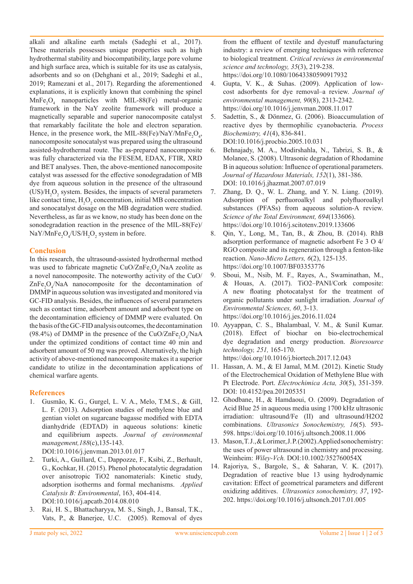alkali and alkaline earth metals (Sadeghi et al., 2017). These materials possesses unique properties such as high hydrothermal stability and biocompatibility, large pore volume and high surface area, which is suitable for its use as catalysis, adsorbents and so on (Dehghani et al., 2019; Sadeghi et al., 2019; Ramezani et al., 2017). Regarding the aforementioned explanations, it is explicitly known that combining the spinel  $MnFe<sub>2</sub>O<sub>4</sub>$  nanoparticles with MIL-88(Fe) metal-organic framework in the NaY zeolite framework will produce a magnetically separable and superior nanocomposite catalyst that remarkably facilitate the hole and electron separation. Hence, in the presence work, the MIL-88(Fe)/NaY/MnFe<sub>2</sub>O<sub>4</sub>, nanocomposite sonocatalyst was prepared using the ultrasound assisted-hydrothermal route. The as-prepared nanocomposite was fully characterized via the FESEM, EDAX, FTIR, XRD and BET analyses. Then, the above-mentioned nanocomposite catalyst was assessed for the effective sonodegradation of MB dye from aqueous solution in the presence of the ultrasound  $(US/H<sub>2</sub>O<sub>2</sub>$  system. Besides, the impacts of several parameters like contact time,  $H_2O_2$  concentration, initial MB concentration and sonocatalyst dosage on the MB degradation were studied. Nevertheless, as far as we know, no study has been done on the sonodegradation reaction in the presence of the MIL-88(Fe)/  $\text{NaY/MnFe}_{2}\text{O}_{4}/\text{US/H}_{2}\text{O}_{2}$  system in before.

#### **Conclusion**

In this research, the ultrasound-assisted hydrothermal method was used to fabricate magnetic  $CuO/ZnFe<sub>2</sub>O<sub>4</sub>/NaA$  zeolite as a novel nanocomposite. The noteworthy activity of the CuO/  $\text{ZnFe}_2\text{O}_4/\text{NaA}$  nanocomposite for the decontamination of DMMP in aqueous solution was investigated and monitored via GC-FID analysis. Besides, the influences of several parameters such as contact time, adsorbent amount and adsorbent type on the decontamination efficiency of DMMP were evaluated. On the basis of the GC-FID analysis outcomes, the decontamination (98.4%) of DMMP in the presence of the CuO/ZnFe<sub>2</sub>O<sub>4</sub>/NaA under the optimized conditions of contact time 40 min and adsorbent amount of 50 mg was proved. Alternatively, the high activity of above-mentioned nanocomposite makes it a superior candidate to utilize in the decontamination applications of chemical warfare agents.

#### **References**

- 1. Gusmão, K. G., Gurgel, L. V. A., Melo, T.M.S., & Gill, L. F. (2013). Adsorption studies of methylene blue and gentian violet on sugarcane bagasse modified with EDTA dianhydride (EDTAD) in aqueous solutions: kinetic and equilibrium aspects. *Journal of environmental management,188*(c),135-143.
	- DOI:10.1016/j.jenvman.2013.01.017
- 2. Turki, A., Guillard, C., Dappozze, F., Ksibi, Z., Berhault, G., Kochkar, H. (2015). Phenol photocatalytic degradation over anisotropic TiO2 nanomaterials: Kinetic study, adsorption isotherms and formal mechanisms. *Applied Catalysis B: Environmental*, 163, 404-414. DOI:10.1016/j.apcatb.2014.08.010
- 3. Rai, H. S., Bhattacharyya, M. S., Singh, J., Bansal, T.K., Vats, P., & Banerjee, U.C. (2005). Removal of dyes

from the effluent of textile and dyestuff manufacturing industry: a review of emerging techniques with reference to biological treatment. *Critical reviews in environmental science and technology, 35*(3), 219-238. https://doi.org/10.1080/10643380590917932

- 4. Gupta, V. K., & Suhas. (2009). Application of lowcost adsorbents for dye removal–a review. *Journal of environmental management, 90*(8), 2313-2342. https://doi.org/10.1016/j.jenvman.2008.11.017
- 5. Sadettin, S., & Dönmez, G. (2006). Bioaccumulation of reactive dyes by thermophilic cyanobacteria. *Process Biochemistry, 41*(4), 836-841. DOI:10.1016/j.procbio.2005.10.031
- 6. Behnajady, M. A., Modirshahla, N., Tabrizi, S. B., & Molanee, S. (2008). Ultrasonic degradation of Rhodamine B in aqueous solution: Influence of operational parameters. *Journal of Hazardous Materials, 152*(1), 381-386. DOI: 10.1016/j.jhazmat.2007.07.019
- 7. Zhang, D. Q., W. L. Zhang, and Y. N. Liang. (2019). Adsorption of perfluoroalkyl and polyfluoroalkyl substances (PFASs) from aqueous solution-A review. *Science of the Total Environment, 694*(133606). https://doi.org/10.1016/j.scitotenv.2019.133606
- 8. Qin, Y., Long, M., Tan, B., & Zhou, B. (2014). RhB adsorption performance of magnetic adsorbent Fe 3 O 4/ RGO composite and its regeneration through a fenton-like reaction. *Nano-Micro Letters, 6*(2), 125-135. https://doi.org/10.1007/BF03353776
- 9. Sboui, M., Nsib, M. F., Rayes, A., Swaminathan, M., & Houas, A. (2017). TiO2–PANI/Cork composite: A new floating photocatalyst for the treatment of organic pollutants under sunlight irradiation. *Journal of Environmental Sciences, 60*, 3-13. https://doi.org/10.1016/j.jes.2016.11.024
- 10. Ayyappan, C. S., Bhalambaal, V. M., & Sunil Kumar. (2018). Effect of biochar on bio-electrochemical dye degradation and energy production. *Bioresource technology, 251,* 165-170. https://doi.org/10.1016/j.biortech.2017.12.043
- 11. Hassan, A. M., & El Jamal, M.M. (2012). Kinetic Study of the Electrochemical Oxidation of Methylene Blue with Pt Electrode. Port. *Electrochimica Acta, 30*(5), 351-359. DOI: 10.4152/pea.201205351
- 12. Ghodbane, H., & Hamdaoui, O. (2009). Degradation of Acid Blue 25 in aqueous media using 1700 kHz ultrasonic irradiation: ultrasound/Fe (II) and ultrasound/H2O2 combinations. *Ultrasonics Sonochemistry, 16*(5). 593- 598. https://doi.org/10.1016/j.ultsonch.2008.11.006
- 13. Mason, T. J., & Lorimer, J. P. (2002). Applied sonochemistry: the uses of power ultrasound in chemistry and processing. Weinheim: *Wiley-Vch.* DOI:10.1002/352760054X
- 14. Rajoriya, S., Bargole, S., & Saharan, V. K. (2017). Degradation of reactive blue 13 using hydrodynamic cavitation: Effect of geometrical parameters and different oxidizing additives. *Ultrasonics sonochemistry, 37*, 192- 202. https://doi.org/10.1016/j.ultsonch.2017.01.005